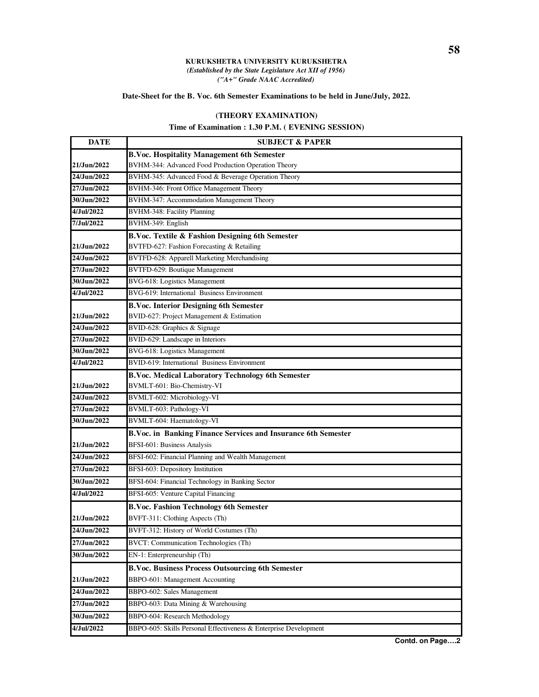## **KURUKSHETRA UNIVERSITY KURUKSHETRA** *(Established by the State Legislature Act XII of 1956) ("A+" Grade NAAC Accredited)*

## **Date-Sheet for the B. Voc. 6th Semester Examinations to be held in June/July, 2022.**

## **(THEORY EXAMINATION)**

## **Time of Examination : 1.30 P.M. ( EVENING SESSION)**

| <b>DATE</b> | <b>SUBJECT &amp; PAPER</b>                                       |
|-------------|------------------------------------------------------------------|
|             | <b>B.Voc. Hospitality Management 6th Semester</b>                |
| 21/Jun/2022 | BVHM-344: Advanced Food Production Operation Theory              |
| 24/Jun/2022 | BVHM-345: Advanced Food & Beverage Operation Theory              |
| 27/Jun/2022 | BVHM-346: Front Office Management Theory                         |
| 30/Jun/2022 | BVHM-347: Accommodation Management Theory                        |
| 4/Jul/2022  | BVHM-348: Facility Planning                                      |
| 7/Jul/2022  | BVHM-349: English                                                |
|             | B.Voc. Textile & Fashion Designing 6th Semester                  |
| 21/Jun/2022 | BVTFD-627: Fashion Forecasting & Retailing                       |
| 24/Jun/2022 | BVTFD-628: Apparell Marketing Merchandising                      |
| 27/Jun/2022 | BVTFD-629: Boutique Management                                   |
| 30/Jun/2022 | <b>BVG-618: Logistics Management</b>                             |
| 4/Jul/2022  | BVG-619: International Business Environment                      |
|             | <b>B.Voc. Interior Designing 6th Semester</b>                    |
| 21/Jun/2022 | BVID-627: Project Management & Estimation                        |
| 24/Jun/2022 | BVID-628: Graphics & Signage                                     |
| 27/Jun/2022 | BVID-629: Landscape in Interiors                                 |
| 30/Jun/2022 | BVG-618: Logistics Management                                    |
| 4/Jul/2022  | BVID-619: International Business Environment                     |
|             | <b>B.Voc. Medical Laboratory Technology 6th Semester</b>         |
| 21/Jun/2022 | BVMLT-601: Bio-Chemistry-VI                                      |
| 24/Jun/2022 | BVMLT-602: Microbiology-VI                                       |
| 27/Jun/2022 | BVMLT-603: Pathology-VI                                          |
| 30/Jun/2022 | BVMLT-604: Haematology-VI                                        |
|             | B.Voc. in Banking Finance Services and Insurance 6th Semester    |
| 21/Jun/2022 | BFSI-601: Business Analysis                                      |
| 24/Jun/2022 | BFSI-602: Financial Planning and Wealth Management               |
| 27/Jun/2022 | BFSI-603: Depository Institution                                 |
| 30/Jun/2022 | BFSI-604: Financial Technology in Banking Sector                 |
| 4/Jul/2022  | BFSI-605: Venture Capital Financing                              |
|             | <b>B.Voc. Fashion Technology 6th Semester</b>                    |
| 21/Jun/2022 | BVFT-311: Clothing Aspects (Th)                                  |
| 24/Jun/2022 | BVFT-312: History of World Costumes (Th)                         |
| 27/Jun/2022 | BVCT: Communication Technologies (Th)                            |
| 30/Jun/2022 | EN-1: Enterpreneurship (Th)                                      |
|             | <b>B.Voc. Business Process Outsourcing 6th Semester</b>          |
| 21/Jun/2022 | BBPO-601: Management Accounting                                  |
| 24/Jun/2022 | BBPO-602: Sales Management                                       |
| 27/Jun/2022 | BBPO-603: Data Mining & Warehousing                              |
| 30/Jun/2022 | BBPO-604: Research Methodology                                   |
| 4/Jul/2022  | BBPO-605: Skills Personal Effectiveness & Enterprise Development |
|             |                                                                  |

**Contd. on Page….2**